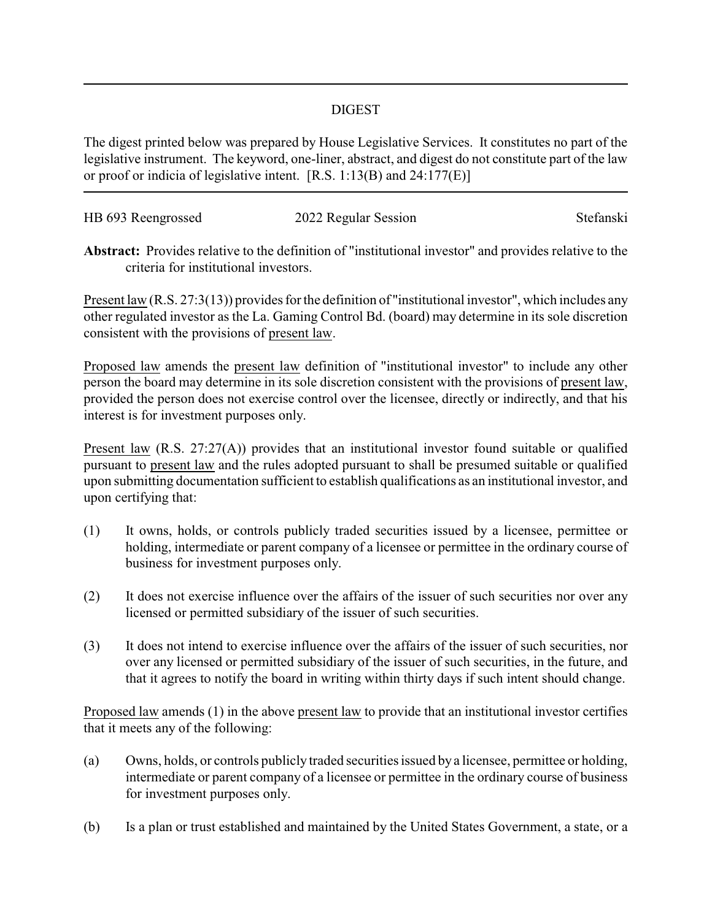## DIGEST

The digest printed below was prepared by House Legislative Services. It constitutes no part of the legislative instrument. The keyword, one-liner, abstract, and digest do not constitute part of the law or proof or indicia of legislative intent. [R.S. 1:13(B) and 24:177(E)]

| HB 693 Reengrossed | 2022 Regular Session | Stefanski |
|--------------------|----------------------|-----------|
|                    |                      |           |

**Abstract:** Provides relative to the definition of "institutional investor" and provides relative to the criteria for institutional investors.

Present law (R.S. 27:3(13)) provides for the definition of "institutional investor", which includes any other regulated investor as the La. Gaming Control Bd. (board) may determine in its sole discretion consistent with the provisions of present law.

Proposed law amends the present law definition of "institutional investor" to include any other person the board may determine in its sole discretion consistent with the provisions of present law, provided the person does not exercise control over the licensee, directly or indirectly, and that his interest is for investment purposes only.

Present law (R.S. 27:27(A)) provides that an institutional investor found suitable or qualified pursuant to present law and the rules adopted pursuant to shall be presumed suitable or qualified upon submitting documentation sufficient to establish qualifications as an institutional investor, and upon certifying that:

- (1) It owns, holds, or controls publicly traded securities issued by a licensee, permittee or holding, intermediate or parent company of a licensee or permittee in the ordinary course of business for investment purposes only.
- (2) It does not exercise influence over the affairs of the issuer of such securities nor over any licensed or permitted subsidiary of the issuer of such securities.
- (3) It does not intend to exercise influence over the affairs of the issuer of such securities, nor over any licensed or permitted subsidiary of the issuer of such securities, in the future, and that it agrees to notify the board in writing within thirty days if such intent should change.

Proposed law amends (1) in the above present law to provide that an institutional investor certifies that it meets any of the following:

- (a) Owns, holds, or controls publicly traded securities issued by a licensee, permittee or holding, intermediate or parent company of a licensee or permittee in the ordinary course of business for investment purposes only.
- (b) Is a plan or trust established and maintained by the United States Government, a state, or a